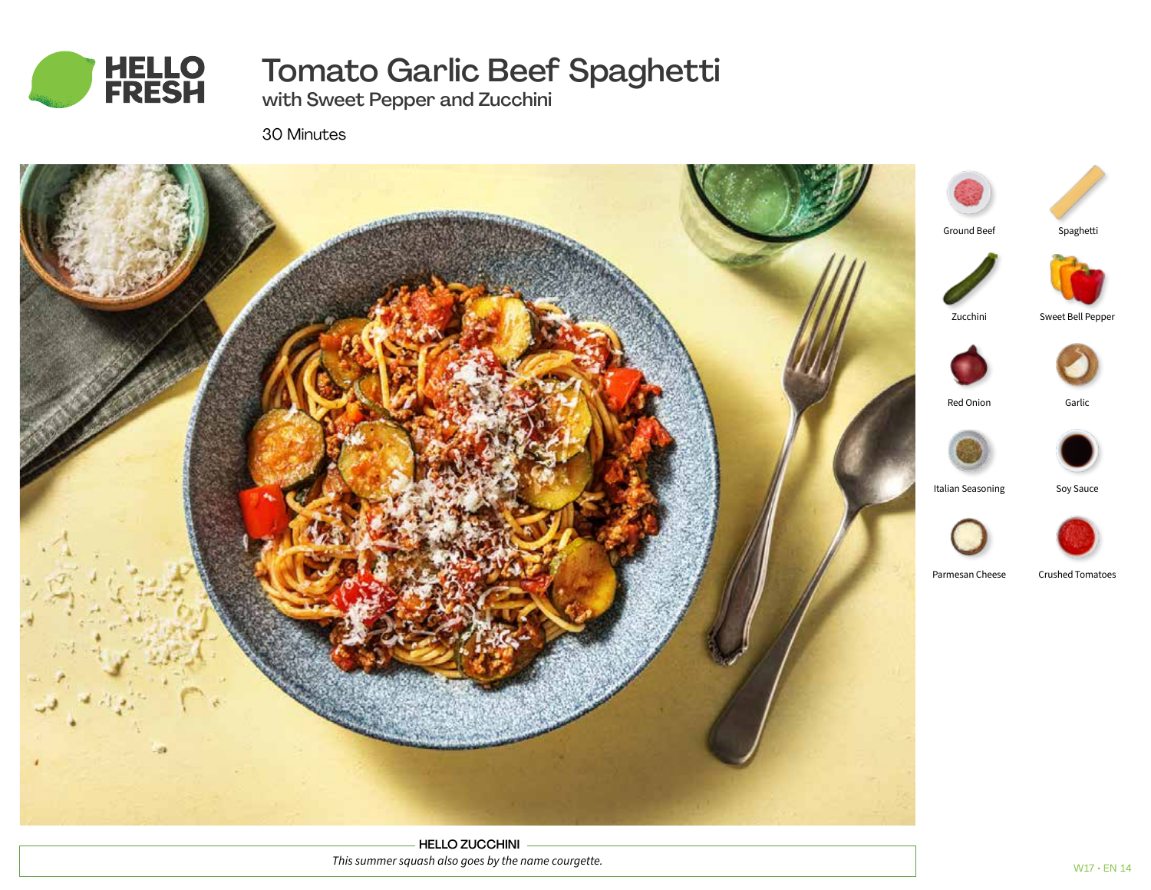

# Tomato Garlic Beef Spaghetti

with Sweet Pepper and Zucchini

30 Minutes



HELLO ZUCCHINI *This summer squash also goes by the name courgette.*